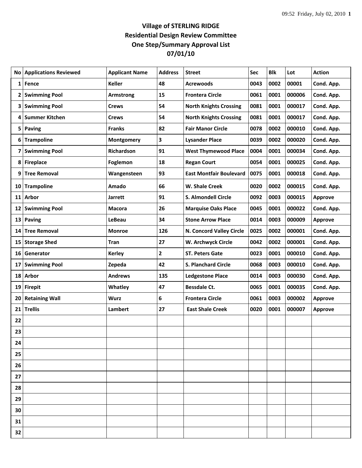## **Village of STERLING RIDGE Residential Design Review Committee One Step/Summary Approval List 07/01/10**

| No | <b>Applications Reviewed</b> | <b>Applicant Name</b> | <b>Address</b>          | <b>Street</b>                  | Sec  | Blk  | Lot    | <b>Action</b>  |
|----|------------------------------|-----------------------|-------------------------|--------------------------------|------|------|--------|----------------|
|    | 1 Fence                      | <b>Keller</b>         | 48                      | <b>Acrewoods</b>               | 0043 | 0002 | 00001  | Cond. App.     |
|    | 2 Swimming Pool              | Armstrong             | 15                      | <b>Frontera Circle</b>         | 0061 | 0001 | 000006 | Cond. App.     |
|    | 3 Swimming Pool              | <b>Crews</b>          | 54                      | <b>North Knights Crossing</b>  | 0081 | 0001 | 000017 | Cond. App.     |
|    | 4 Summer Kitchen             | <b>Crews</b>          | 54                      | <b>North Knights Crossing</b>  | 0081 | 0001 | 000017 | Cond. App.     |
|    | 5 Paving                     | <b>Franks</b>         | 82                      | <b>Fair Manor Circle</b>       | 0078 | 0002 | 000010 | Cond. App.     |
| 6  | <b>Trampoline</b>            | Montgomery            | 3                       | <b>Lysander Place</b>          | 0039 | 0002 | 000020 | Cond. App.     |
| 7  | <b>Swimming Pool</b>         | Richardson            | 91                      | <b>West Thymewood Place</b>    | 0004 | 0001 | 000034 | Cond. App.     |
|    | 8 Fireplace                  | Foglemon              | 18                      | <b>Regan Court</b>             | 0054 | 0001 | 000025 | Cond. App.     |
| 9  | <b>Tree Removal</b>          | Wangensteen           | 93                      | <b>East Montfair Boulevard</b> | 0075 | 0001 | 000018 | Cond. App.     |
| 10 | <b>Trampoline</b>            | Amado                 | 66                      | W. Shale Creek                 | 0020 | 0002 | 000015 | Cond. App.     |
|    | 11 Arbor                     | <b>Jarrett</b>        | 91                      | S. Almondell Circle            | 0092 | 0003 | 000015 | Approve        |
|    | 12 Swimming Pool             | <b>Macora</b>         | 26                      | <b>Marquise Oaks Place</b>     | 0045 | 0001 | 000022 | Cond. App.     |
|    | 13 Paving                    | <b>LeBeau</b>         | 34                      | <b>Stone Arrow Place</b>       | 0014 | 0003 | 000009 | Approve        |
|    | 14 Tree Removal              | Monroe                | 126                     | N. Concord Valley Circle       | 0025 | 0002 | 000001 | Cond. App.     |
|    | 15 Storage Shed              | <b>Tran</b>           | 27                      | W. Archwyck Circle             | 0042 | 0002 | 000001 | Cond. App.     |
|    | 16 Generator                 | <b>Kerley</b>         | $\overline{\mathbf{2}}$ | <b>ST. Peters Gate</b>         | 0023 | 0001 | 000010 | Cond. App.     |
| 17 | <b>Swimming Pool</b>         | Zepeda                | 42                      | S. Planchard Circle            | 0068 | 0003 | 000010 | Cond. App.     |
|    | 18 Arbor                     | <b>Andrews</b>        | 135                     | <b>Ledgestone Place</b>        | 0014 | 0003 | 000030 | Cond. App.     |
|    | 19 Firepit                   | Whatley               | 47                      | <b>Bessdale Ct.</b>            | 0065 | 0001 | 000035 | Cond. App.     |
|    | 20 Retaining Wall            | <b>Wurz</b>           | 6                       | <b>Frontera Circle</b>         | 0061 | 0003 | 000002 | Approve        |
| 21 | Trellis                      | <b>Lambert</b>        | 27                      | <b>East Shale Creek</b>        | 0020 | 0001 | 000007 | <b>Approve</b> |
| 22 |                              |                       |                         |                                |      |      |        |                |
| 23 |                              |                       |                         |                                |      |      |        |                |
| 24 |                              |                       |                         |                                |      |      |        |                |
| 25 |                              |                       |                         |                                |      |      |        |                |
| 26 |                              |                       |                         |                                |      |      |        |                |
| 27 |                              |                       |                         |                                |      |      |        |                |
| 28 |                              |                       |                         |                                |      |      |        |                |
| 29 |                              |                       |                         |                                |      |      |        |                |
| 30 |                              |                       |                         |                                |      |      |        |                |
| 31 |                              |                       |                         |                                |      |      |        |                |
| 32 |                              |                       |                         |                                |      |      |        |                |